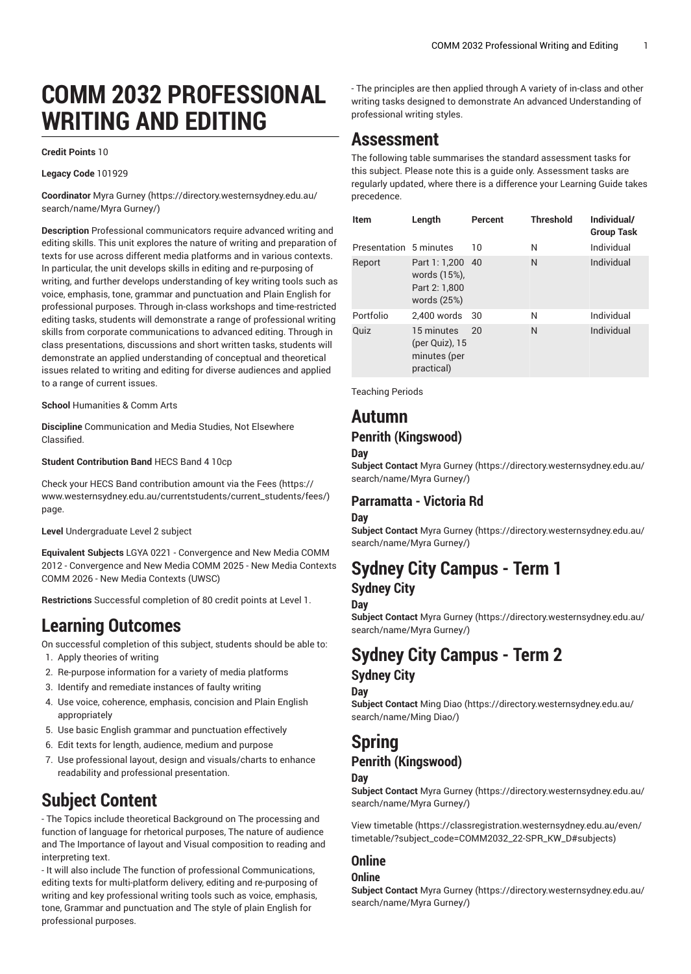# **COMM 2032 PROFESSIONAL WRITING AND EDITING**

#### **Credit Points** 10

**Legacy Code** 101929

**Coordinator** Myra [Gurney](https://directory.westernsydney.edu.au/search/name/Myra Gurney/) ([https://directory.westernsydney.edu.au/](https://directory.westernsydney.edu.au/search/name/Myra Gurney/) [search/name/Myra](https://directory.westernsydney.edu.au/search/name/Myra Gurney/) Gurney/)

**Description** Professional communicators require advanced writing and editing skills. This unit explores the nature of writing and preparation of texts for use across different media platforms and in various contexts. In particular, the unit develops skills in editing and re-purposing of writing, and further develops understanding of key writing tools such as voice, emphasis, tone, grammar and punctuation and Plain English for professional purposes. Through in-class workshops and time-restricted editing tasks, students will demonstrate a range of professional writing skills from corporate communications to advanced editing. Through in class presentations, discussions and short written tasks, students will demonstrate an applied understanding of conceptual and theoretical issues related to writing and editing for diverse audiences and applied to a range of current issues.

**School** Humanities & Comm Arts

**Discipline** Communication and Media Studies, Not Elsewhere Classified.

**Student Contribution Band** HECS Band 4 10cp

Check your HECS Band contribution amount via the [Fees \(https://](https://www.westernsydney.edu.au/currentstudents/current_students/fees/) [www.westernsydney.edu.au/currentstudents/current\\_students/fees/\)](https://www.westernsydney.edu.au/currentstudents/current_students/fees/) page.

**Level** Undergraduate Level 2 subject

**Equivalent Subjects** LGYA 0221 - Convergence and New Media COMM 2012 - Convergence and New Media COMM 2025 - New Media Contexts [COMM 2026](/search/?P=COMM%202026) - New Media Contexts (UWSC)

**Restrictions** Successful completion of 80 credit points at Level 1.

## **Learning Outcomes**

On successful completion of this subject, students should be able to:

- 1. Apply theories of writing
- 2. Re-purpose information for a variety of media platforms
- 3. Identify and remediate instances of faulty writing
- 4. Use voice, coherence, emphasis, concision and Plain English appropriately
- 5. Use basic English grammar and punctuation effectively
- 6. Edit texts for length, audience, medium and purpose
- 7. Use professional layout, design and visuals/charts to enhance readability and professional presentation.

# **Subject Content**

- The Topics include theoretical Background on The processing and function of language for rhetorical purposes, The nature of audience and The Importance of layout and Visual composition to reading and interpreting text.

- It will also include The function of professional Communications, editing texts for multi-platform delivery, editing and re-purposing of writing and key professional writing tools such as voice, emphasis, tone, Grammar and punctuation and The style of plain English for professional purposes.

- The principles are then applied through A variety of in-class and other writing tasks designed to demonstrate An advanced Understanding of professional writing styles.

## **Assessment**

The following table summarises the standard assessment tasks for this subject. Please note this is a guide only. Assessment tasks are regularly updated, where there is a difference your Learning Guide takes precedence.

| Item<br>Presentation 5 minutes | Length                                                        | Percent<br>10 | <b>Threshold</b><br>N | Individual/<br><b>Group Task</b><br>Individual |
|--------------------------------|---------------------------------------------------------------|---------------|-----------------------|------------------------------------------------|
| Report                         | Part 1: 1,200<br>words (15%),<br>Part 2: 1.800<br>words (25%) | 40            | N                     | Individual                                     |
| Portfolio                      | 2.400 words                                                   | 30            | N                     | Individual                                     |
| Quiz                           | 15 minutes<br>(per Quiz), 15<br>minutes (per<br>practical)    | 20            | N                     | Individual                                     |

Teaching Periods

# **Autumn**

## **Penrith (Kingswood)**

#### **Day**

**Subject Contact** Myra [Gurney](https://directory.westernsydney.edu.au/search/name/Myra Gurney/) ([https://directory.westernsydney.edu.au/](https://directory.westernsydney.edu.au/search/name/Myra Gurney/) [search/name/Myra](https://directory.westernsydney.edu.au/search/name/Myra Gurney/) Gurney/)

## **Parramatta - Victoria Rd**

#### **Day**

**Subject Contact** Myra [Gurney](https://directory.westernsydney.edu.au/search/name/Myra Gurney/) ([https://directory.westernsydney.edu.au/](https://directory.westernsydney.edu.au/search/name/Myra Gurney/) [search/name/Myra](https://directory.westernsydney.edu.au/search/name/Myra Gurney/) Gurney/)

## **Sydney City Campus - Term 1 Sydney City**

### **Day**

**Subject Contact** Myra [Gurney](https://directory.westernsydney.edu.au/search/name/Myra Gurney/) ([https://directory.westernsydney.edu.au/](https://directory.westernsydney.edu.au/search/name/Myra Gurney/) [search/name/Myra](https://directory.westernsydney.edu.au/search/name/Myra Gurney/) Gurney/)

# **Sydney City Campus - Term 2**

## **Sydney City**

#### **Day**

**Subject Contact** [Ming Diao](https://directory.westernsydney.edu.au/search/name/Ming Diao/) ([https://directory.westernsydney.edu.au/](https://directory.westernsydney.edu.au/search/name/Ming Diao/) [search/name/Ming](https://directory.westernsydney.edu.au/search/name/Ming Diao/) Diao/)

# **Spring**

## **Penrith (Kingswood)**

### **Day**

**Subject Contact** Myra [Gurney](https://directory.westernsydney.edu.au/search/name/Myra Gurney/) ([https://directory.westernsydney.edu.au/](https://directory.westernsydney.edu.au/search/name/Myra Gurney/) [search/name/Myra](https://directory.westernsydney.edu.au/search/name/Myra Gurney/) Gurney/)

[View timetable](https://classregistration.westernsydney.edu.au/even/timetable/?subject_code=COMM2032_22-SPR_KW_D#subjects) [\(https://classregistration.westernsydney.edu.au/even/](https://classregistration.westernsydney.edu.au/even/timetable/?subject_code=COMM2032_22-SPR_KW_D#subjects) [timetable/?subject\\_code=COMM2032\\_22-SPR\\_KW\\_D#subjects\)](https://classregistration.westernsydney.edu.au/even/timetable/?subject_code=COMM2032_22-SPR_KW_D#subjects)

## **Online**

### **Online**

**Subject Contact** Myra [Gurney](https://directory.westernsydney.edu.au/search/name/Myra Gurney/) ([https://directory.westernsydney.edu.au/](https://directory.westernsydney.edu.au/search/name/Myra Gurney/) [search/name/Myra](https://directory.westernsydney.edu.au/search/name/Myra Gurney/) Gurney/)